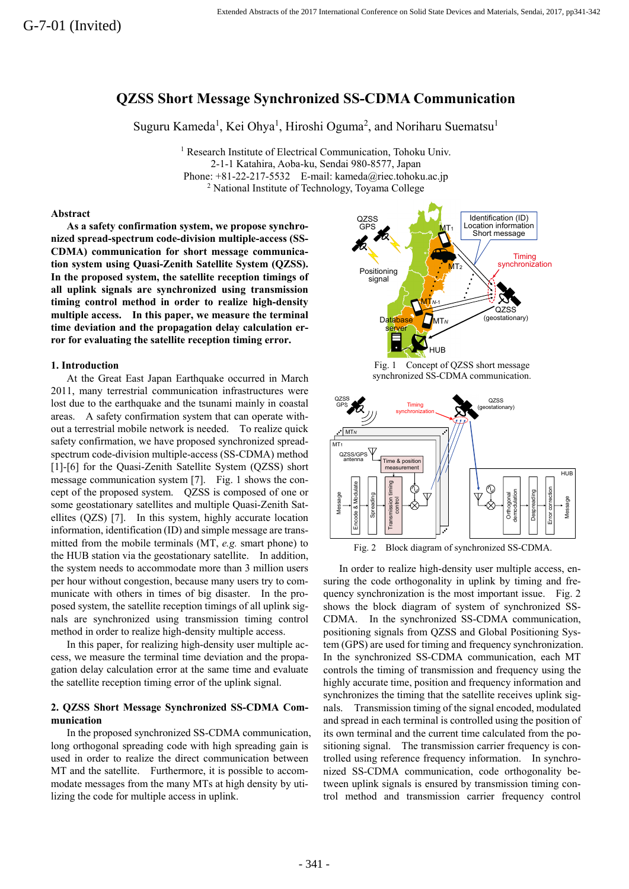# **QZSS Short Message Synchronized SS-CDMA Communication**

Suguru Kameda<sup>1</sup>, Kei Ohya<sup>1</sup>, Hiroshi Oguma<sup>2</sup>, and Noriharu Suematsu<sup>1</sup>

<sup>1</sup> Research Institute of Electrical Communication, Tohoku Univ. 2-1-1 Katahira, Aoba-ku, Sendai 980-8577, Japan Phone:  $+81-22-217-5532$  E-mail: kameda@riec.tohoku.ac.jp <sup>2</sup> National Institute of Technology, Toyama College

#### **Abstract**

**As a safety confirmation system, we propose synchronized spread-spectrum code-division multiple-access (SS-CDMA) communication for short message communication system using Quasi-Zenith Satellite System (QZSS). In the proposed system, the satellite reception timings of all uplink signals are synchronized using transmission timing control method in order to realize high-density multiple access. In this paper, we measure the terminal time deviation and the propagation delay calculation error for evaluating the satellite reception timing error.** 

## **1. Introduction**

At the Great East Japan Earthquake occurred in March 2011, many terrestrial communication infrastructures were lost due to the earthquake and the tsunami mainly in coastal areas. A safety confirmation system that can operate without a terrestrial mobile network is needed. To realize quick safety confirmation, we have proposed synchronized spreadspectrum code-division multiple-access (SS-CDMA) method [1]-[6] for the Quasi-Zenith Satellite System (QZSS) short message communication system [7]. Fig. 1 shows the concept of the proposed system. QZSS is composed of one or some geostationary satellites and multiple Quasi-Zenith Satellites (QZS) [7]. In this system, highly accurate location information, identification (ID) and simple message are transmitted from the mobile terminals (MT, *e.g.* smart phone) to the HUB station via the geostationary satellite. In addition, the system needs to accommodate more than 3 million users per hour without congestion, because many users try to communicate with others in times of big disaster. In the proposed system, the satellite reception timings of all uplink signals are synchronized using transmission timing control method in order to realize high-density multiple access.

In this paper, for realizing high-density user multiple access, we measure the terminal time deviation and the propagation delay calculation error at the same time and evaluate the satellite reception timing error of the uplink signal.

## **2. QZSS Short Message Synchronized SS-CDMA Communication**

In the proposed synchronized SS-CDMA communication, long orthogonal spreading code with high spreading gain is used in order to realize the direct communication between MT and the satellite. Furthermore, it is possible to accommodate messages from the many MTs at high density by utilizing the code for multiple access in uplink.



Fig. 1 Concept of QZSS short message synchronized SS-CDMA communication.





In order to realize high-density user multiple access, ensuring the code orthogonality in uplink by timing and frequency synchronization is the most important issue. Fig. 2 shows the block diagram of system of synchronized SS-CDMA. In the synchronized SS-CDMA communication, positioning signals from QZSS and Global Positioning System (GPS) are used for timing and frequency synchronization. In the synchronized SS-CDMA communication, each MT controls the timing of transmission and frequency using the highly accurate time, position and frequency information and synchronizes the timing that the satellite receives uplink signals. Transmission timing of the signal encoded, modulated and spread in each terminal is controlled using the position of its own terminal and the current time calculated from the positioning signal. The transmission carrier frequency is controlled using reference frequency information. In synchronized SS-CDMA communication, code orthogonality between uplink signals is ensured by transmission timing control method and transmission carrier frequency control